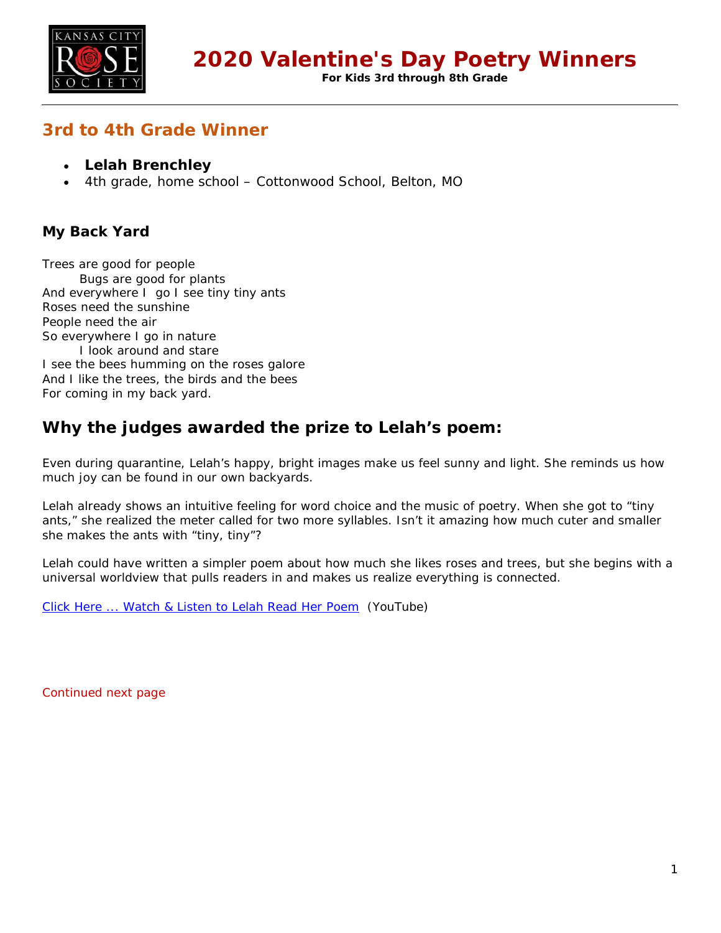

**For Kids 3rd through 8th Grade**

# **3rd to 4th Grade Winner**

- **Lelah Brenchley**
- 4th grade, home school Cottonwood School, Belton, MO

## **My Back Yard**

Trees are good for people Bugs are good for plants And everywhere I go I see tiny tiny ants Roses need the sunshine People need the air So everywhere I go in nature I look around and stare I see the bees humming on the roses galore And I like the trees, the birds and the bees For coming in my back yard.

# **Why the judges awarded the prize to Lelah's poem:**

Even during quarantine, Lelah's happy, bright images make us feel sunny and light. She reminds us how much joy can be found in our own backyards.

Lelah already shows an intuitive feeling for word choice and the music of poetry. When she got to "tiny ants," she realized the meter called for two more syllables. Isn't it amazing how much cuter and smaller she makes the ants with "tiny, tiny"?

Lelah could have written a simpler poem about how much she likes roses and trees, but she begins with a universal worldview that pulls readers in and makes us realize everything is connected.

[Click Here ... Watch & Listen to Lelah Read Her Poem](https://youtu.be/34I6HMURBqw) (YouTube)

Continued next page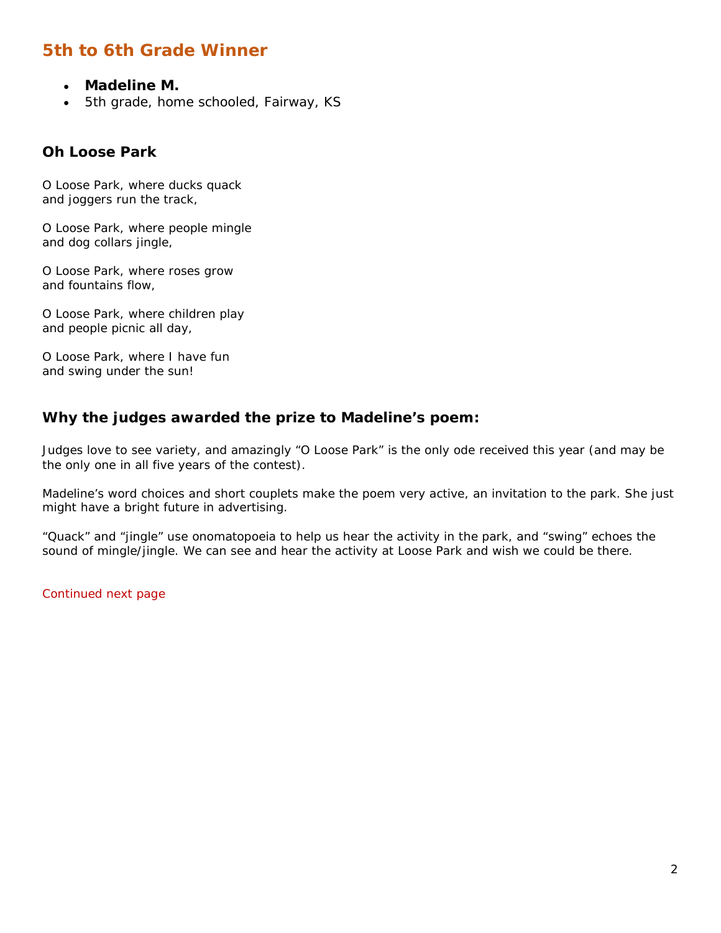# **5th to 6th Grade Winner**

- **Madeline M.**
- 5th grade, home schooled, Fairway, KS

#### **Oh Loose Park**

O Loose Park, where ducks quack and joggers run the track,

O Loose Park, where people mingle and dog collars jingle,

O Loose Park, where roses grow and fountains flow,

O Loose Park, where children play and people picnic all day,

O Loose Park, where I have fun and swing under the sun!

### **Why the judges awarded the prize to Madeline's poem:**

Judges love to see variety, and amazingly "O Loose Park" is the only ode received this year (and may be the only one in all five years of the contest).

Madeline's word choices and short couplets make the poem very active, an invitation to the park. She just might have a bright future in advertising.

"Quack" and "jingle" use onomatopoeia to help us hear the activity in the park, and "swing" echoes the sound of mingle/jingle. We can see and hear the activity at Loose Park and wish we could be there.

Continued next page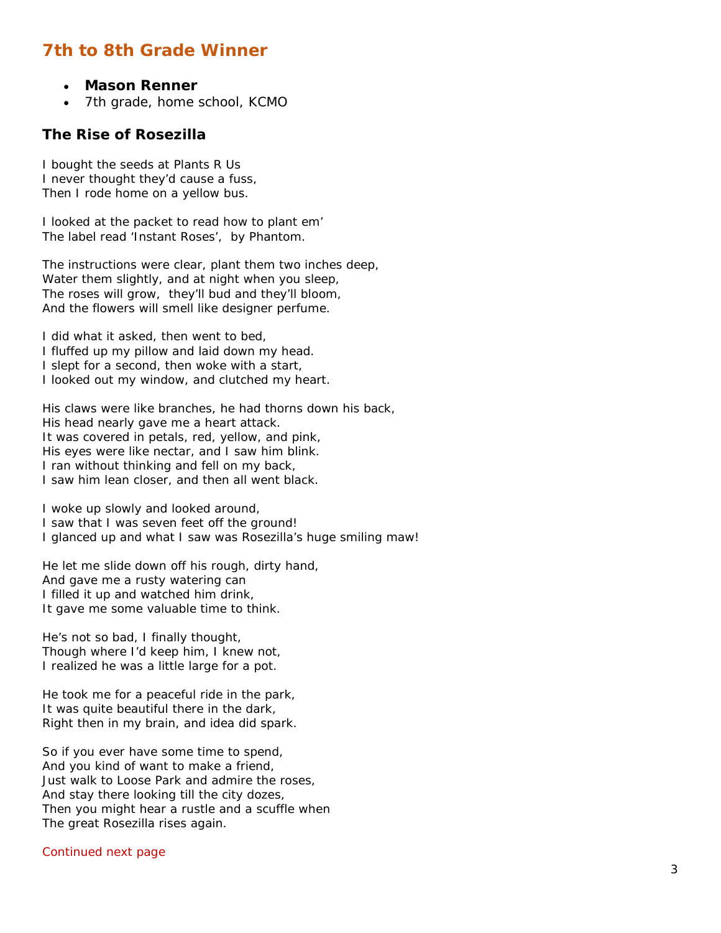# **7th to 8th Grade Winner**

- **Mason Renner**
- 7th grade, home school, KCMO

#### **The Rise of Rosezilla**

I bought the seeds at Plants R Us I never thought they'd cause a fuss, Then I rode home on a yellow bus.

I looked at the packet to read how to plant em' The label read 'Instant Roses', by Phantom.

The instructions were clear, plant them two inches deep, Water them slightly, and at night when you sleep, The roses will grow, they'll bud and they'll bloom, And the flowers will smell like designer perfume.

I did what it asked, then went to bed, I fluffed up my pillow and laid down my head. I slept for a second, then woke with a start, I looked out my window, and clutched my heart.

His claws were like branches, he had thorns down his back, His head nearly gave me a heart attack. It was covered in petals, red, yellow, and pink, His eyes were like nectar, and I saw him blink. I ran without thinking and fell on my back, I saw him lean closer, and then all went black.

I woke up slowly and looked around, I saw that I was seven feet off the ground! I glanced up and what I saw was Rosezilla's huge smiling maw!

He let me slide down off his rough, dirty hand, And gave me a rusty watering can I filled it up and watched him drink, It gave me some valuable time to think.

He's not so bad, I finally thought, Though where I'd keep him, I knew not, I realized he was a little large for a pot.

He took me for a peaceful ride in the park, It was quite beautiful there in the dark. Right then in my brain, and idea did spark.

So if you ever have some time to spend, And you kind of want to make a friend, Just walk to Loose Park and admire the roses, And stay there looking till the city dozes, Then you might hear a rustle and a scuffle when The great Rosezilla rises again.

#### Continued next page